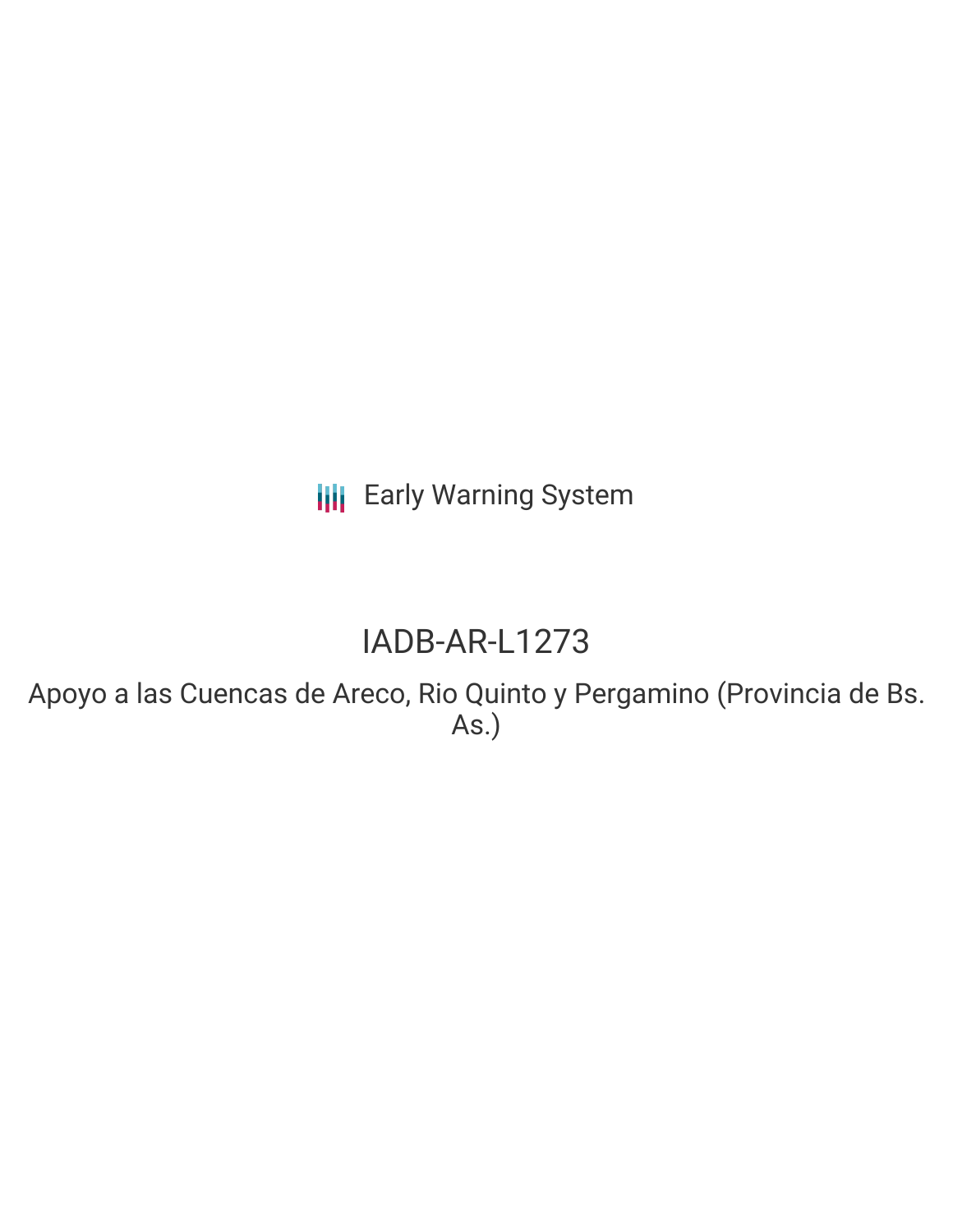**III** Early Warning System

# IADB-AR-L1273

Apoyo a las Cuencas de Areco, Rio Quinto y Pergamino (Provincia de Bs. As.)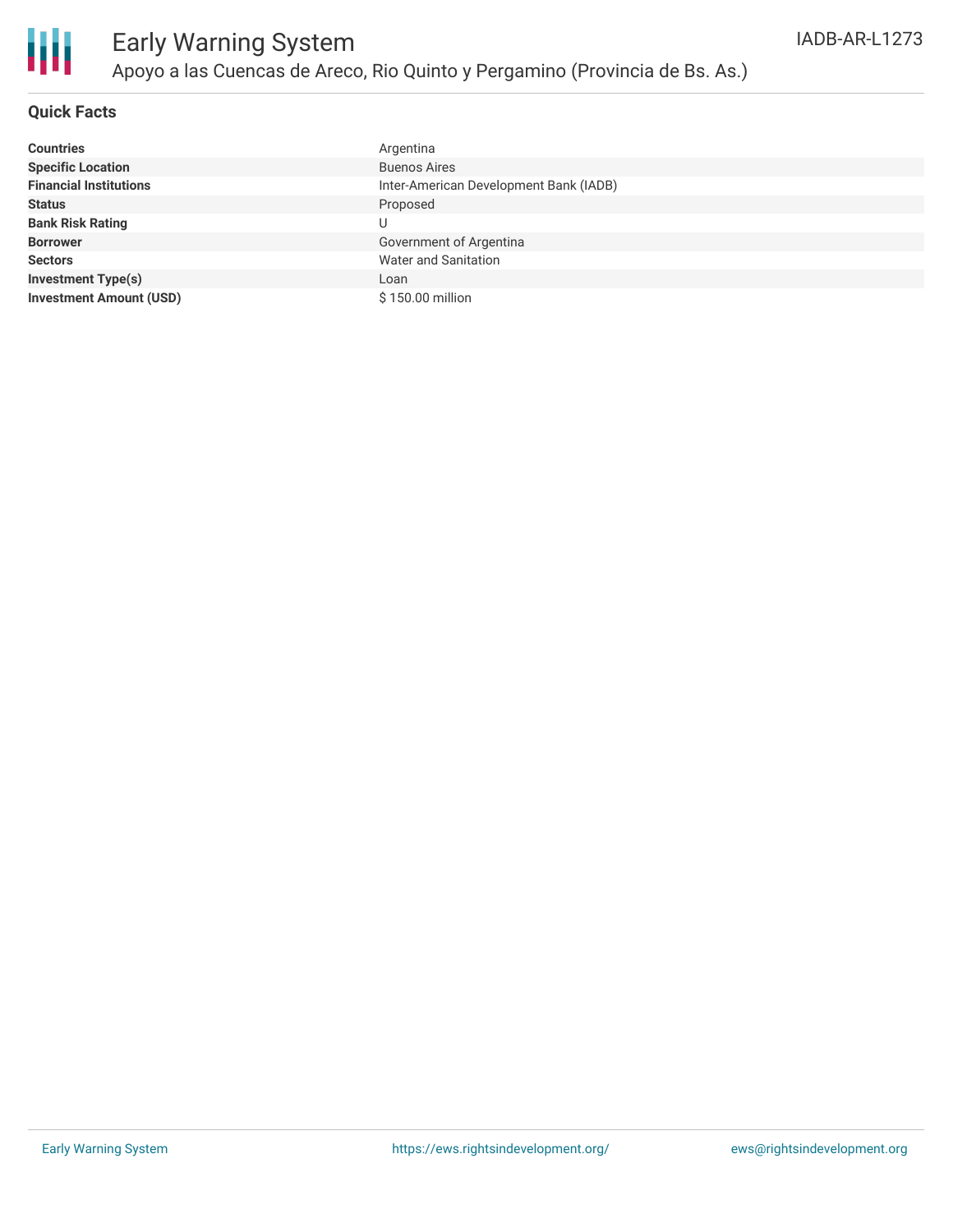

### **Quick Facts**

| <b>Countries</b>               | Argentina                              |
|--------------------------------|----------------------------------------|
| <b>Specific Location</b>       | <b>Buenos Aires</b>                    |
| <b>Financial Institutions</b>  | Inter-American Development Bank (IADB) |
| <b>Status</b>                  | Proposed                               |
| <b>Bank Risk Rating</b>        | U                                      |
| <b>Borrower</b>                | Government of Argentina                |
| <b>Sectors</b>                 | <b>Water and Sanitation</b>            |
| <b>Investment Type(s)</b>      | Loan                                   |
| <b>Investment Amount (USD)</b> | \$150.00 million                       |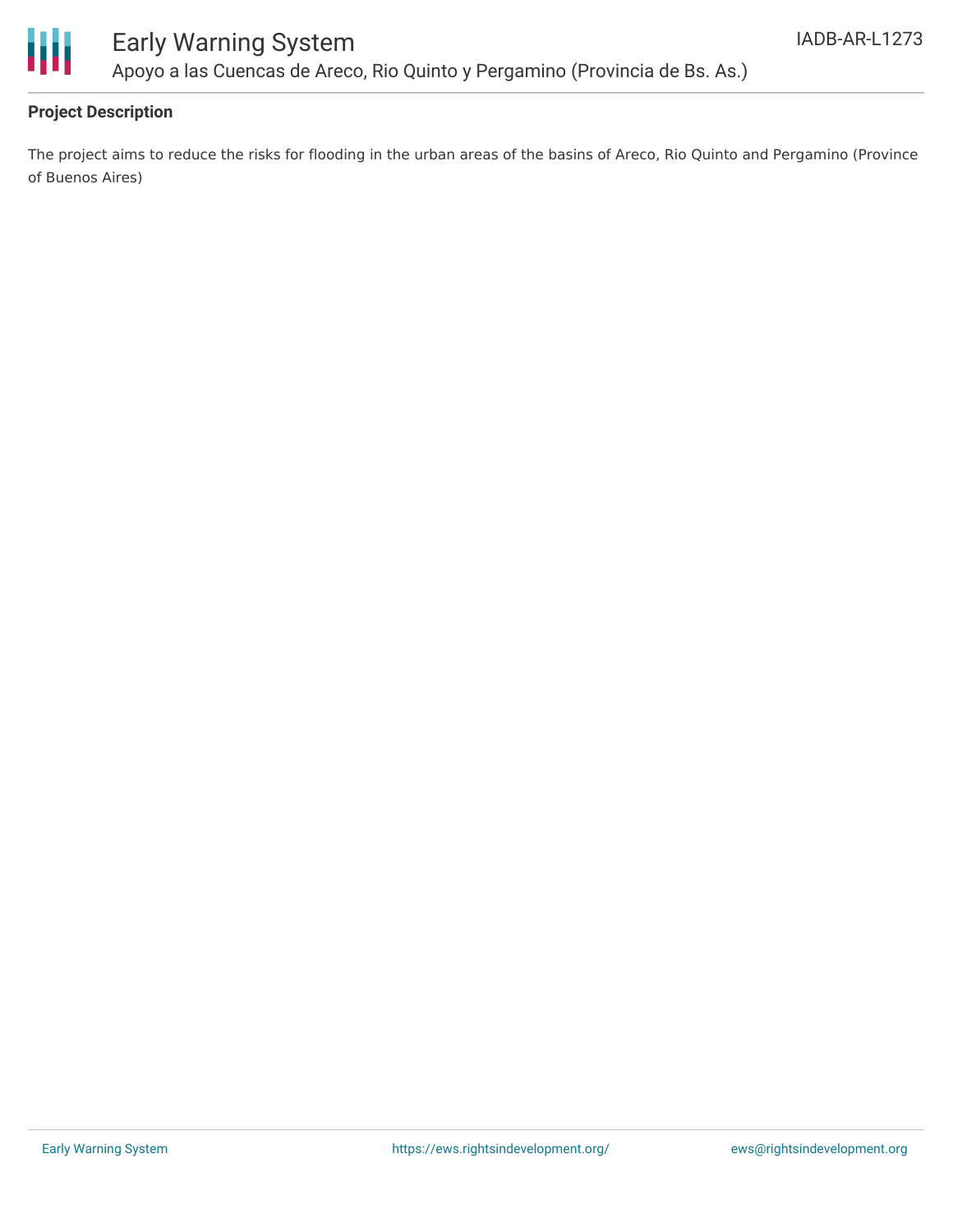

## Early Warning System Apoyo a las Cuencas de Areco, Rio Quinto y Pergamino (Provincia de Bs. As.)

### **Project Description**

The project aims to reduce the risks for flooding in the urban areas of the basins of Areco, Rio Quinto and Pergamino (Province of Buenos Aires)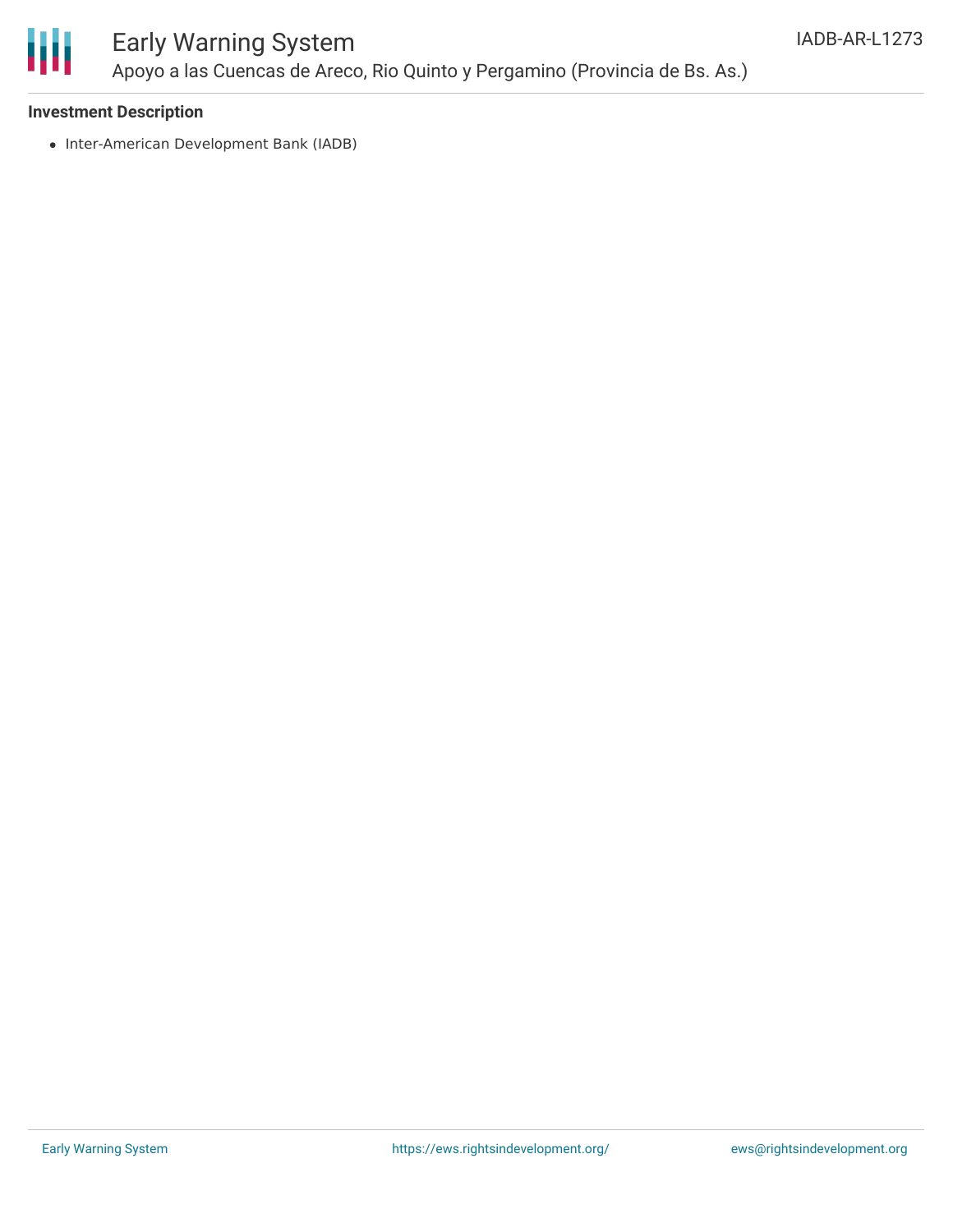

### Early Warning System Apoyo a las Cuencas de Areco, Rio Quinto y Pergamino (Provincia de Bs. As.)

### **Investment Description**

• Inter-American Development Bank (IADB)